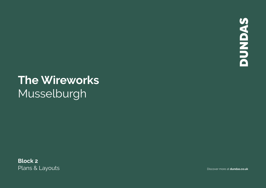**SAGNANG** 

# **The Wireworks** Musselburgh

**Block 2** Plans & Layouts **Discover more at dundas.co.uk**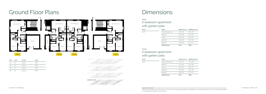## Ground Floor Plans

| <b>TYPE</b> | <b>PLOT</b> | <b>FLOOR</b> | <b>AREA</b>        |  |
|-------------|-------------|--------------|--------------------|--|
| 2A          | 18          | Ground       | 753ft <sup>2</sup> |  |
| 2A          | 29          | Ground       | 753ft <sup>2</sup> |  |
| 2B          | 19          | Ground       | 753ft <sup>2</sup> |  |
| 2B          | 28          | Ground       | 753ft <sup>2</sup> |  |



### 2-bedroom apartment with garden patio **TYPE 2B**

| <b>PLOTS</b> | <b>ROOM</b>             | $METRIC (W \times D)$ | IMPERIAL $(W \times D)$ |
|--------------|-------------------------|-----------------------|-------------------------|
| 18, 29       | Kitchen/Dining/Living   | $5.97 \times 4.44$    | $19'7'' \times 14'7''$  |
|              | Bedroom 1               | $2.64 \times 3.89$    | $8'8'' \times 12'9''$   |
|              | En suite                | $2.64 \times 1.95$    | $8'8'' \times 6'5''$    |
|              | Bedroom 2               | $3.14 \times 2.64$    | $10'4'' \times 8'8''$   |
|              | Bathroom                | $1.93 \times 2.36$    | $6'4'' \times 7'9''$    |
|              | <b>Total Floor Area</b> | 70 <sup>m²</sup>      | 753ft <sup>2</sup>      |

### 2-bedroom apartment with garden patio

**\*Apartment Disclaimer**: Please note that some properties are built handed (mirror image) to those illustrated. These floor plans depict a typical layout of the apartment type.<br>**\*Apartment Disclaimer**: Please note that som All dimensions are approximate and floor plans are not to scale. Computer generated images. Individual features and elevational treatments may vary. Please ask the Rettie & Co. Property Broker for details of your chosen plot.



## **Dimensions**

| <b>PLOTS</b> | <b>ROOM</b>             | $METRIC (W \times D)$ | IMPERIAL $(W \times D)$ |
|--------------|-------------------------|-----------------------|-------------------------|
| 19.28        | Kitchen/Dining/Living   | $5.67 \times 4.47$    | $18'7'' \times 14'8''$  |
|              | Bedroom 1               | $2.71 \times 3.87$    | $8'11'' \times 12'8''$  |
|              | En suite                | $2.71 \times 1.95$    | $8'11'' \times 6'5''$   |
|              | Bedroom 2               | $3.24 \times 2.64$    | $10'8" \times 8'8"$     |
|              | Bathroom                | $2.00 \times 2.37$    | $6'7'' \times 7'9''$    |
|              | <b>Total Floor Area</b> | 70 <sup>m²</sup>      | 753ft <sup>2</sup>      |

#### **TYPE 2A**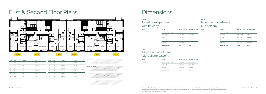## First & Second Floor Plans

| <b>TYPE</b> | <b>PLOT</b> | <b>FLOOR</b> | <b>AREA</b>        | <b>TYPE</b> | <b>PLOT</b> | <b>FLOOR</b> | <b>AREA</b>        |
|-------------|-------------|--------------|--------------------|-------------|-------------|--------------|--------------------|
| 2J          | 20          | First        | 753ft <sup>2</sup> | 2J          | 23          | Second       | 753ft <sup>2</sup> |
| 2J          | 32          | First        | 753ft <sup>2</sup> | 2J          | 35          | Second       | 753ft <sup>2</sup> |
| 1B          | 21          | First        | 517ft <sup>2</sup> | 1B          | 24          | Second       | 517ft <sup>2</sup> |
| 1B          | 31          | First        | 517ft <sup>2</sup> | 1B          | 34          | Second       | 517ft <sup>2</sup> |
| 2K          | 22          | First        | 775ft <sup>2</sup> | 2K          | 25          | Second       | 775ft <sup>2</sup> |
| 2K          | 30          | First        | 775ft <sup>2</sup> | 2K          | 33          | Second       | 775ft <sup>2</sup> |



### 1-bedroom apartment with Juliette balcony **TYPE 1B**

## Dimensions

### 2-bedroom apartment with balcony

| <b>PLOTS</b>  | <b>ROOM</b>             | $METRIC (W \times D)$ | IMPERIAL (W $\times$ D) |
|---------------|-------------------------|-----------------------|-------------------------|
| 21, 24, 31 34 | Kitchen/Dining/Living   | $4.68 \times 5.77$    | $15'4'' \times 18'11''$ |
|               | Bedroom 1               | $2.69 \times 3.66$    | $8'10'' \times 12'0''$  |
|               | Bathroom                | $2.69 \times 2.00$    | $8'10'' \times 6'7''$   |
|               | <b>Total Floor Area</b> | 48m <sup>2</sup>      | 517ft <sup>2</sup>      |



| <b>PLOTS</b>   | <b>ROOM</b>             | METRIC $(W \times D)$ | IMPERIAL (W $\times$ D) | <b>PLOTS</b>   | <b>ROOM</b>             | $METRIC (W \times D)$ | $IMPERIAL (W \times D)$ |
|----------------|-------------------------|-----------------------|-------------------------|----------------|-------------------------|-----------------------|-------------------------|
| 20, 23, 32, 35 | Kitchen/Dining/Living   | $5.96 \times 4.49$    | 19'7" x 14'9"           | 22, 25, 30, 33 | Kitchen/Dining/Living   | $5.58 \times 5.08$    | $18'4'' \times 16'8''$  |
|                | Bedroom 1               | $2.71 \times 3.98$    | $8'11'' \times 13'1''$  |                | Bedroom 1               | $2.85 \times 4.02$    | 9'4" x 13'2"            |
|                | En suite                | $2.71 \times 2.00$    | $8'11'' \times 6'7''$   |                | En suite                | $2.85 \times 1.44$    | $9'4'' \times 4'9''$    |
|                | Bedroom 2               | $3.14 \times 2.72$    | $10'4'' \times 8'11''$  |                | Bedroom 2               | $2.85 \times 2.71$    | $9'4'' \times 8'11''$   |
|                | Bathroom                | $2.00 \times 2.43$    | 6'7" x 7'0"             |                | Bathroom                | $1.95 \times 2.52$    | $6'5'' \times 8'3''$    |
|                | <b>Total Floor Area</b> | 70 <sup>m²</sup>      | 753ft <sup>2</sup>      |                | <b>Total Floor Area</b> | 72m <sup>2</sup>      | 775ft <sup>2</sup>      |

### 2-bedroom apartment with balcony **TYPE 2J TYPE 2K**



19 28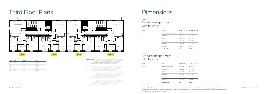## Third Floor Plans

| <b>TYPE</b> | <b>PLOT</b> | <b>FLOOR</b> | <b>AREA</b>             |  |
|-------------|-------------|--------------|-------------------------|--|
| 3G          | 26          | Third        | $1.055$ ft <sup>2</sup> |  |
| 3G          | 37          | Third        | $1.055$ ft <sup>2</sup> |  |
| 3H          | 27          | Third        | 1.023 ft <sup>2</sup>   |  |
| 3H          | 36          | Third        | 1.023 <sup>ft2</sup>    |  |



**Apartment Disclaimer**: Please note that some properties are built handed (mirror image) to those illustrated. These floor plans depict a typical layout of the apartment type. The Wireworks | Block 2 | 07 All dimensions are approximate and floor plans are not to scale. Computer generated images. Individual features and elevational treatments may vary. Please ask the Rettie & Co. Property Broker for details of your chosen plot.

| <b>PLOTS</b> | <b>ROOM</b>             | METRIC $(W \times D)$ | IMPERIAL $(W \times D)$ |
|--------------|-------------------------|-----------------------|-------------------------|
| 26.37        | Kitchen/Dining/Living   | $5.99 \times 6.65$    | 19'8" x 21'10"          |
|              | Bedroom 1               | $3.57 \times 3.62$    | $11'9'' \times 11'11''$ |
|              | En suite                | $2.41 \times 2.04$    | $7'11'' \times 6'8''$   |
|              | Bedroom 2               | $2.72 \times 4.03$    | $8'11'' \times 13'3''$  |
|              | Bedroom 3               | $3.45 \times 2.38$    | $11'4'' \times 7'10''$  |
|              | Bathroom                | 2.38 x 2.04           | $7'10'' \times 6'8''$   |
|              | <b>Total Floor Area</b> | 98m <sup>2</sup>      | $1.055$ ft <sup>2</sup> |

### 3-bedroom apartment with balcony **TYPE 3G**

| <b>PLOTS</b> | <b>ROOM</b>             | $METRIC (W \times D)$ | IMPERIAL $(W \times D)$ |  |
|--------------|-------------------------|-----------------------|-------------------------|--|
| 27.36        | Kitchen/Dining/Living   | $5.59 \times 6.65$    | 18'4" x 21'10"          |  |
|              | Bedroom 1               | $3.52 \times 3.62$    | $11'7'' \times 11'11''$ |  |
|              | En suite                | $2.41 \times 2.04$    | $7'11'' \times 6'8''$   |  |
|              | Bedroom 2               | $2.71 \times 4.03$    | $8'11'' \times 13'3''$  |  |
|              | Bedroom 3               | $3.18 \times 2.38$    | $10'5'' \times 7'10''$  |  |
|              | Bathroom                | $2.47 \times 2.04$    | $8'1'' \times 6'8''$    |  |
|              | <b>Total Floor Area</b> | 95m <sup>2</sup>      | 1.023 ft <sup>2</sup>   |  |



## **Dimensions**

#### **TYPE 3H**

### 3-bedroom apartment with balcony